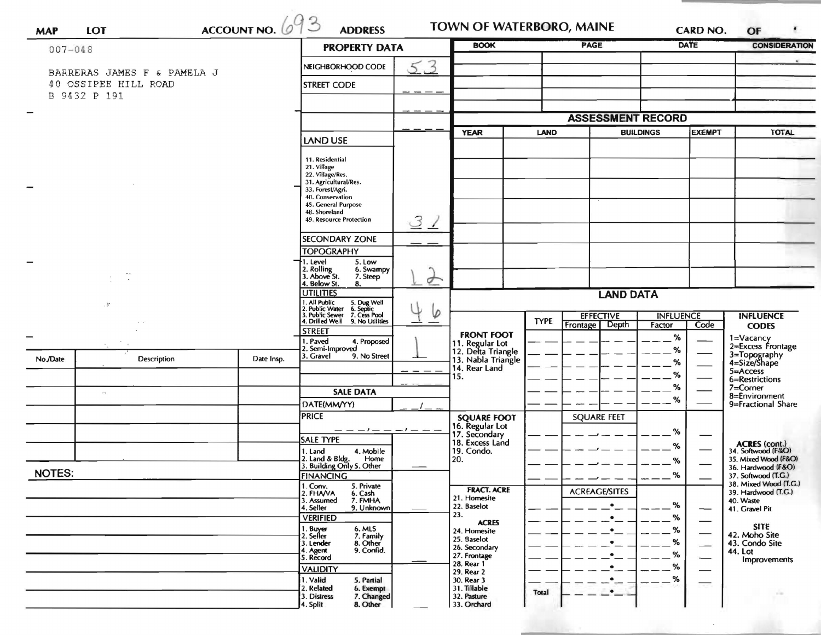|                      |                             |                 |                                           | <b>PROPERTY DATA</b>                                                                                                           | <b>BOOK</b>              |                                       | <b>PAGE</b>                       |                          | CARD NO.<br><b>DATE</b> | OF<br><b>CONSIDERATION</b> |                                              |
|----------------------|-----------------------------|-----------------|-------------------------------------------|--------------------------------------------------------------------------------------------------------------------------------|--------------------------|---------------------------------------|-----------------------------------|--------------------------|-------------------------|----------------------------|----------------------------------------------|
| $007 - 048$          |                             |                 |                                           |                                                                                                                                |                          |                                       |                                   |                          |                         |                            |                                              |
|                      | BARRERAS JAMES F & PAMELA J |                 |                                           | NEIGHBORHOOD CODE                                                                                                              | 53                       |                                       |                                   |                          |                         |                            |                                              |
| 40 OSSIPEE HILL ROAD |                             |                 |                                           | <b>STREET CODE</b>                                                                                                             |                          |                                       |                                   |                          |                         |                            |                                              |
|                      | B 9432 P 191                |                 |                                           |                                                                                                                                |                          |                                       |                                   |                          |                         |                            |                                              |
|                      |                             |                 |                                           |                                                                                                                                |                          |                                       |                                   | <b>ASSESSMENT RECORD</b> |                         |                            |                                              |
|                      |                             |                 |                                           | <b>YEAR</b><br>LAND                                                                                                            |                          |                                       | <b>BUILDINGS</b><br><b>EXEMPT</b> |                          | <b>TOTAL</b>            |                            |                                              |
|                      |                             | <b>LAND USE</b> |                                           |                                                                                                                                |                          |                                       |                                   |                          |                         |                            |                                              |
|                      |                             |                 |                                           | 11. Residential                                                                                                                |                          |                                       |                                   |                          |                         |                            |                                              |
|                      |                             |                 |                                           | 21. Village<br>22. Village/Res.                                                                                                |                          |                                       |                                   |                          |                         |                            |                                              |
|                      |                             |                 | 31. Agricultural/Res.<br>33. Forest/Agri. |                                                                                                                                |                          |                                       |                                   |                          |                         |                            |                                              |
|                      |                             |                 | 40. Conservation<br>45. General Purpose   |                                                                                                                                |                          |                                       |                                   |                          |                         |                            |                                              |
|                      |                             |                 | 48. Shoreland<br>49. Resource Protection  | $\mathcal{Z}$                                                                                                                  |                          |                                       |                                   |                          |                         |                            |                                              |
|                      |                             |                 |                                           |                                                                                                                                | $\overline{\phantom{a}}$ |                                       |                                   |                          |                         |                            |                                              |
|                      |                             |                 |                                           | <b>SECONDARY ZONE</b><br><b>TOPOGRAPHY</b>                                                                                     |                          |                                       |                                   |                          |                         |                            |                                              |
|                      |                             |                 |                                           | →1. Level<br>5. Low                                                                                                            |                          |                                       |                                   |                          |                         |                            |                                              |
| $\sim$               |                             |                 |                                           | 2. Rolling<br>3. Above St.<br>6. Swampy<br>7. Steep                                                                            | $\sigma$                 |                                       |                                   |                          |                         |                            |                                              |
|                      |                             |                 |                                           | 4. Below St.<br>8.<br><b>UTILITIES</b>                                                                                         |                          |                                       |                                   | <b>LAND DATA</b>         |                         |                            |                                              |
| $\cdot$ 5            |                             |                 |                                           |                                                                                                                                |                          |                                       |                                   |                          |                         |                            |                                              |
|                      |                             |                 |                                           | 1. All Public 5. Dug Well<br>2. Public Water 6. Septic<br>3. Public Sewer 7. Cess Pool<br>4. Drilled Well 9. No Utilities<br>Ø |                          |                                       | <b>TYPE</b>                       | <b>EFFECTIVE</b>         | <b>INFLUENCE</b>        |                            | <b>INFLUENCE</b>                             |
|                      |                             |                 |                                           | <b>STREET</b>                                                                                                                  |                          | <b>FRONT FOOT</b>                     |                                   | <b>Frontage</b><br>Depth | Factor<br>%             | Code                       | <b>CODES</b>                                 |
|                      |                             |                 |                                           | 1. Paved<br>4. Proposed<br>2. Semi-Improved                                                                                    |                          | 11. Regular Lot<br>12. Delta Triangle |                                   |                          | %                       |                            | 1=Vacancy<br>2=Excess Frontage               |
| No./Date             | Description                 |                 | Date Insp.                                | 3. Gravel<br>9. No Street                                                                                                      |                          | 13. Nabla Triangle                    |                                   |                          | %                       |                            | 3=Topography<br>4=Size/Shape                 |
|                      |                             |                 |                                           |                                                                                                                                |                          | 14. Rear Land<br>15.                  |                                   |                          | %                       |                            | 5=Access<br>6=Restrictions                   |
|                      | $\sim$ $\sim$               |                 |                                           | <b>SALE DATA</b><br>DATE(MM/YY)                                                                                                |                          |                                       |                                   |                          | $\%$                    |                            | $7 =$ Corner<br>8=Environment                |
|                      |                             |                 |                                           |                                                                                                                                |                          |                                       |                                   |                          | %                       | 9=Fractional Share         |                                              |
|                      |                             |                 |                                           | <b>PRICE</b>                                                                                                                   |                          | <b>SQUARE FOOT</b><br>16. Regular Lot |                                   | <b>SQUARE FEET</b>       |                         |                            |                                              |
|                      |                             |                 |                                           | — — — — — — — — — —<br>SALE TYPE                                                                                               |                          | 17. Secondary                         |                                   |                          | %                       |                            |                                              |
|                      |                             |                 |                                           | 4. Mobile<br>1. Land                                                                                                           |                          | 18. Excess Land<br>19. Condo.         |                                   |                          | %                       |                            | ACRES (cont.)<br>34. Softwood (F&O)          |
|                      |                             |                 |                                           | 2. Land & Bldg. Home<br>3. Building Only 5. Other<br>Home                                                                      |                          | 20.                                   |                                   |                          | %                       |                            | 35. Mixed Wood (F&O)<br>36. Hardwood (F&O)   |
| <b>NOTES:</b>        |                             |                 |                                           | <b>FINANCING</b>                                                                                                               |                          |                                       |                                   |                          | $\mathbf{O}$<br>$---$   |                            | 37. Softwood (T.G.)                          |
|                      |                             |                 |                                           | 1. Conv.<br>5. Private<br>2. FHAVA<br>6. Cash                                                                                  |                          | <b>FRACT. ACRE</b>                    |                                   | <b>ACREAGE/SITES</b>     |                         |                            | 38. Mixed Wood (T.G.)<br>39. Hardwood (T.G.) |
|                      |                             |                 |                                           | 3. Assumed<br>7. FMHA<br>4. Seller<br>9. Unknown                                                                               |                          | 21. Homesite<br>22. Baselot           |                                   | $\bullet$                | %                       |                            | 40. Waste<br>41. Gravel Pit                  |
|                      |                             |                 |                                           | <b>VERIFIED</b>                                                                                                                |                          | 23.<br><b>ACRES</b>                   |                                   |                          | %                       |                            |                                              |
|                      |                             |                 |                                           | 1. Buyer<br>2. Seller<br>6. MLS<br>7. Family                                                                                   |                          | 24. Homesite<br>25. Baselot           |                                   |                          | %                       |                            | <b>SITE</b><br>42. Moho Site                 |
|                      |                             |                 |                                           | 3. Lender<br>8. Other<br>9. Confid.<br>4. Agent                                                                                |                          | 26. Secondary                         |                                   |                          | %<br>%                  |                            | 43. Condo Site<br>44. Lot                    |
|                      |                             |                 |                                           | 5. Record<br><b>VALIDITY</b>                                                                                                   |                          | 27. Frontage<br>28. Rear 1            |                                   |                          | %                       |                            | Improvements                                 |
|                      |                             |                 |                                           | 1. Valid<br>5. Partial                                                                                                         |                          | 29. Rear 2<br>30. Rear 3              |                                   | $\bullet$                | ℅                       |                            |                                              |
|                      |                             |                 |                                           | 2. Related<br>6. Exempt<br>3. Distress<br>7. Changed                                                                           |                          | 31. Tillable<br>32. Pasture           | Total                             | $\bullet$ —              |                         |                            |                                              |
|                      |                             |                 |                                           | 4. Split<br>8. Other                                                                                                           |                          | 33. Orchard                           |                                   |                          |                         |                            |                                              |